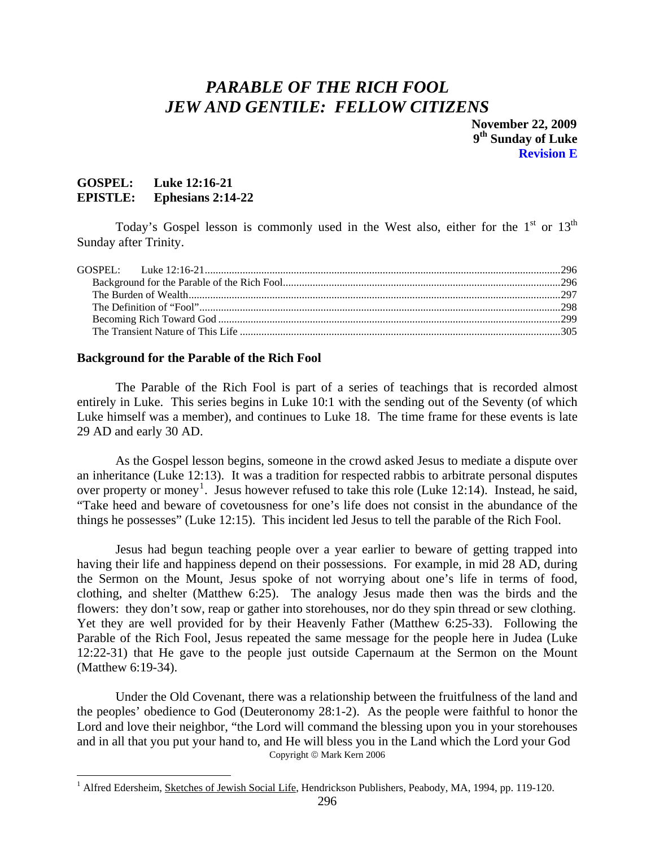# <span id="page-0-0"></span>*PARABLE OF THE RICH FOOL JEW AND GENTILE: FELLOW CITIZENS*

 **November 22, 2009 9th Sunday of Luke Revision E** 

### **GOSPEL: Luke 12:16-21 EPISTLE: Ephesians 2:14-22**

 $\overline{a}$ 

Today's Gospel lesson is commonly used in the West also, either for the  $1<sup>st</sup>$  or  $13<sup>th</sup>$ Sunday after Trinity.

#### **Background for the Parable of the Rich Fool**

The Parable of the Rich Fool is part of a series of teachings that is recorded almost entirely in Luke. This series begins in Luke 10:1 with the sending out of the Seventy (of which Luke himself was a member), and continues to Luke 18. The time frame for these events is late 29 AD and early 30 AD.

As the Gospel lesson begins, someone in the crowd asked Jesus to mediate a dispute over an inheritance (Luke 12:13). It was a tradition for respected rabbis to arbitrate personal disputes over property or money<sup>[1](#page-0-1)</sup>. Jesus however refused to take this role (Luke 12:14). Instead, he said, "Take heed and beware of covetousness for one's life does not consist in the abundance of the things he possesses" (Luke 12:15). This incident led Jesus to tell the parable of the Rich Fool.

Jesus had begun teaching people over a year earlier to beware of getting trapped into having their life and happiness depend on their possessions. For example, in mid 28 AD, during the Sermon on the Mount, Jesus spoke of not worrying about one's life in terms of food, clothing, and shelter (Matthew 6:25). The analogy Jesus made then was the birds and the flowers: they don't sow, reap or gather into storehouses, nor do they spin thread or sew clothing. Yet they are well provided for by their Heavenly Father (Matthew 6:25-33). Following the Parable of the Rich Fool, Jesus repeated the same message for the people here in Judea (Luke 12:22-31) that He gave to the people just outside Capernaum at the Sermon on the Mount (Matthew 6:19-34).

Under the Old Covenant, there was a relationship between the fruitfulness of the land and the peoples' obedience to God (Deuteronomy 28:1-2). As the people were faithful to honor the Lord and love their neighbor, "the Lord will command the blessing upon you in your storehouses and in all that you put your hand to, and He will bless you in the Land which the Lord your God Copyright © Mark Kern 2006

<span id="page-0-1"></span><sup>&</sup>lt;sup>1</sup> Alfred Edersheim, Sketches of Jewish Social Life, Hendrickson Publishers, Peabody, MA, 1994, pp. 119-120.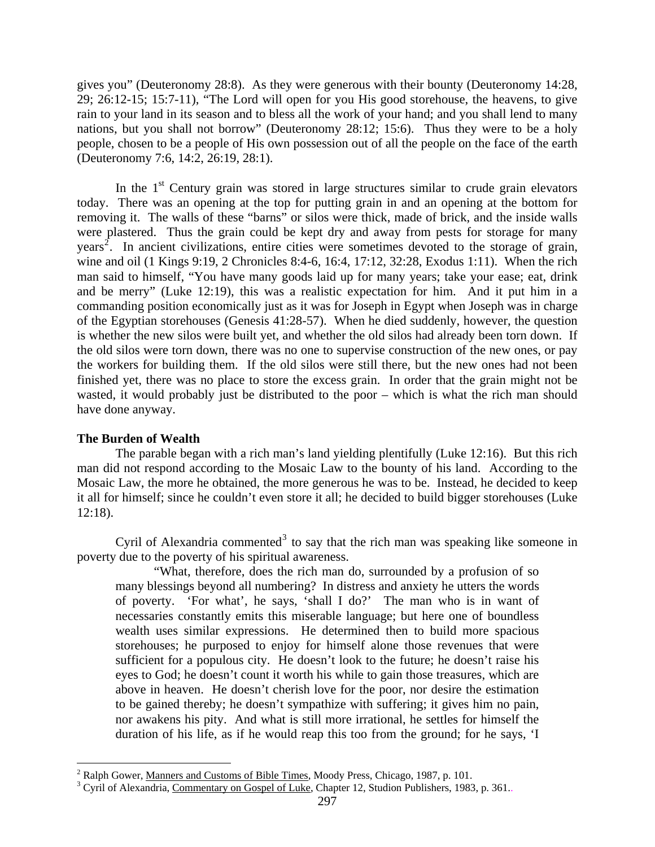<span id="page-1-0"></span>gives you" (Deuteronomy 28:8). As they were generous with their bounty (Deuteronomy 14:28, 29; 26:12-15; 15:7-11), "The Lord will open for you His good storehouse, the heavens, to give rain to your land in its season and to bless all the work of your hand; and you shall lend to many nations, but you shall not borrow" (Deuteronomy 28:12; 15:6). Thus they were to be a holy people, chosen to be a people of His own possession out of all the people on the face of the earth (Deuteronomy 7:6, 14:2, 26:19, 28:1).

In the  $1<sup>st</sup>$  Century grain was stored in large structures similar to crude grain elevators today. There was an opening at the top for putting grain in and an opening at the bottom for removing it. The walls of these "barns" or silos were thick, made of brick, and the inside walls were plastered. Thus the grain could be kept dry and away from pests for storage for many years<sup>[2](#page-1-1)</sup>. In ancient civilizations, entire cities were sometimes devoted to the storage of grain, wine and oil (1 Kings 9:19, 2 Chronicles 8:4-6, 16:4, 17:12, 32:28, Exodus 1:11). When the rich man said to himself, "You have many goods laid up for many years; take your ease; eat, drink and be merry" (Luke 12:19), this was a realistic expectation for him. And it put him in a commanding position economically just as it was for Joseph in Egypt when Joseph was in charge of the Egyptian storehouses (Genesis 41:28-57). When he died suddenly, however, the question is whether the new silos were built yet, and whether the old silos had already been torn down. If the old silos were torn down, there was no one to supervise construction of the new ones, or pay the workers for building them. If the old silos were still there, but the new ones had not been finished yet, there was no place to store the excess grain. In order that the grain might not be wasted, it would probably just be distributed to the poor – which is what the rich man should have done anyway.

#### **The Burden of Wealth**

The parable began with a rich man's land yielding plentifully (Luke 12:16). But this rich man did not respond according to the Mosaic Law to the bounty of his land. According to the Mosaic Law, the more he obtained, the more generous he was to be. Instead, he decided to keep it all for himself; since he couldn't even store it all; he decided to build bigger storehouses (Luke 12:18).

Cyril of Alexandria commented<sup>[3](#page-1-2)</sup> to say that the rich man was speaking like someone in poverty due to the poverty of his spiritual awareness.

"What, therefore, does the rich man do, surrounded by a profusion of so many blessings beyond all numbering? In distress and anxiety he utters the words of poverty. 'For what', he says, 'shall I do?' The man who is in want of necessaries constantly emits this miserable language; but here one of boundless wealth uses similar expressions. He determined then to build more spacious storehouses; he purposed to enjoy for himself alone those revenues that were sufficient for a populous city. He doesn't look to the future; he doesn't raise his eyes to God; he doesn't count it worth his while to gain those treasures, which are above in heaven. He doesn't cherish love for the poor, nor desire the estimation to be gained thereby; he doesn't sympathize with suffering; it gives him no pain, nor awakens his pity. And what is still more irrational, he settles for himself the duration of his life, as if he would reap this too from the ground; for he says, 'I

 $\overline{a}$ <sup>2</sup> Ralph Gower, <u>Manners and Customs of Bible Times</u>, Moody Press, Chicago, 1987, p. 101.<br><sup>3</sup> Curil of Alexandria Commontany on Gospal of Luke Chapter 12, Studion Bublishers, 1983.

<span id="page-1-2"></span><span id="page-1-1"></span><sup>&</sup>lt;sup>3</sup> Cyril of Alexandria, Commentary on Gospel of Luke, Chapter 12, Studion Publishers, 1983, p. 361...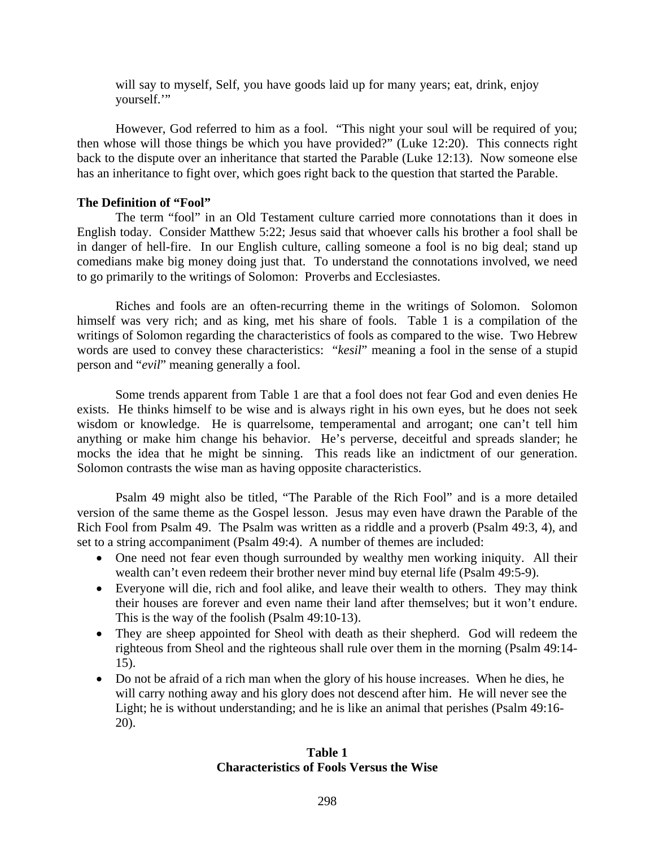<span id="page-2-0"></span>will say to myself, Self, you have goods laid up for many years; eat, drink, enjoy yourself."

However, God referred to him as a fool. "This night your soul will be required of you; then whose will those things be which you have provided?" (Luke 12:20). This connects right back to the dispute over an inheritance that started the Parable (Luke 12:13). Now someone else has an inheritance to fight over, which goes right back to the question that started the Parable.

#### **The Definition of "Fool"**

The term "fool" in an Old Testament culture carried more connotations than it does in English today. Consider Matthew 5:22; Jesus said that whoever calls his brother a fool shall be in danger of hell-fire. In our English culture, calling someone a fool is no big deal; stand up comedians make big money doing just that. To understand the connotations involved, we need to go primarily to the writings of Solomon: Proverbs and Ecclesiastes.

Riches and fools are an often-recurring theme in the writings of Solomon. Solomon himself was very rich; and as king, met his share of fools. Table 1 is a compilation of the writings of Solomon regarding the characteristics of fools as compared to the wise. Two Hebrew words are used to convey these characteristics: "*kesil*" meaning a fool in the sense of a stupid person and "*evil*" meaning generally a fool.

Some trends apparent from Table 1 are that a fool does not fear God and even denies He exists. He thinks himself to be wise and is always right in his own eyes, but he does not seek wisdom or knowledge. He is quarrelsome, temperamental and arrogant; one can't tell him anything or make him change his behavior. He's perverse, deceitful and spreads slander; he mocks the idea that he might be sinning. This reads like an indictment of our generation. Solomon contrasts the wise man as having opposite characteristics.

Psalm 49 might also be titled, "The Parable of the Rich Fool" and is a more detailed version of the same theme as the Gospel lesson. Jesus may even have drawn the Parable of the Rich Fool from Psalm 49. The Psalm was written as a riddle and a proverb (Psalm 49:3, 4), and set to a string accompaniment (Psalm 49:4). A number of themes are included:

- One need not fear even though surrounded by wealthy men working iniquity. All their wealth can't even redeem their brother never mind buy eternal life (Psalm 49:5-9).
- Everyone will die, rich and fool alike, and leave their wealth to others. They may think their houses are forever and even name their land after themselves; but it won't endure. This is the way of the foolish (Psalm 49:10-13).
- They are sheep appointed for Sheol with death as their shepherd. God will redeem the righteous from Sheol and the righteous shall rule over them in the morning (Psalm 49:14- 15).
- Do not be afraid of a rich man when the glory of his house increases. When he dies, he will carry nothing away and his glory does not descend after him. He will never see the Light; he is without understanding; and he is like an animal that perishes (Psalm 49:16- 20).

## **Table 1 Characteristics of Fools Versus the Wise**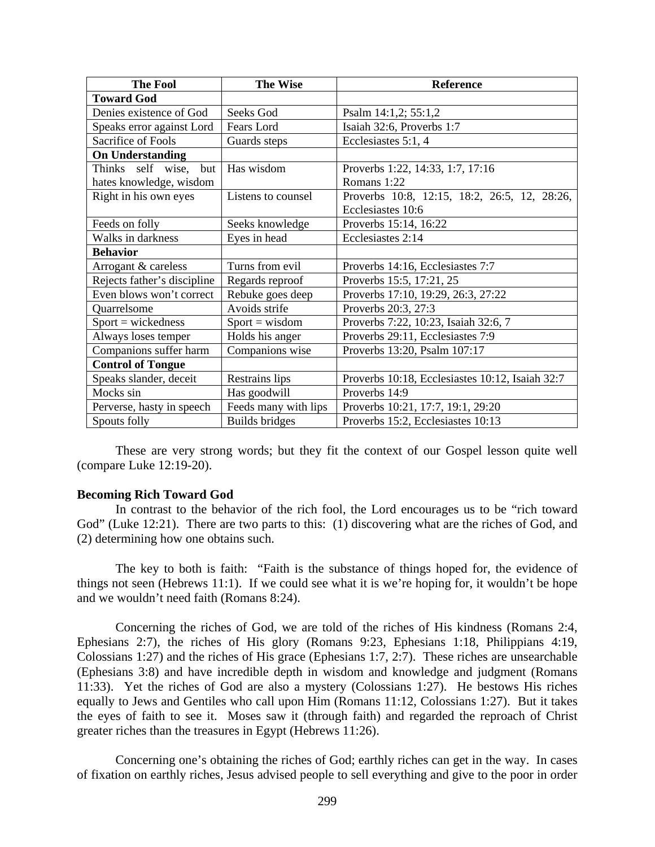<span id="page-3-0"></span>

| <b>The Fool</b>             | <b>The Wise</b>       | <b>Reference</b>                                |
|-----------------------------|-----------------------|-------------------------------------------------|
| <b>Toward God</b>           |                       |                                                 |
| Denies existence of God     | Seeks God             | Psalm 14:1,2; 55:1,2                            |
| Speaks error against Lord   | Fears Lord            | Isaiah 32:6, Proverbs 1:7                       |
| Sacrifice of Fools          | Guards steps          | Ecclesiastes 5:1, 4                             |
| <b>On Understanding</b>     |                       |                                                 |
| Thinks self wise,<br>but    | Has wisdom            | Proverbs 1:22, 14:33, 1:7, 17:16                |
| hates knowledge, wisdom     |                       | Romans 1:22                                     |
| Right in his own eyes       | Listens to counsel    | Proverbs 10:8, 12:15, 18:2, 26:5, 12, 28:26,    |
|                             |                       | Ecclesiastes 10:6                               |
| Feeds on folly              | Seeks knowledge       | Proverbs 15:14, 16:22                           |
| Walks in darkness           | Eyes in head          | Ecclesiastes 2:14                               |
| <b>Behavior</b>             |                       |                                                 |
| Arrogant & careless         | Turns from evil       | Proverbs 14:16, Ecclesiastes 7:7                |
| Rejects father's discipline | Regards reproof       | Proverbs 15:5, 17:21, 25                        |
| Even blows won't correct    | Rebuke goes deep      | Proverbs 17:10, 19:29, 26:3, 27:22              |
| Quarrelsome                 | Avoids strife         | Proverbs 20:3, 27:3                             |
| $Sport = wickedness$        | $Sport = wisdom$      | Proverbs 7:22, 10:23, Isaiah 32:6, 7            |
| Always loses temper         | Holds his anger       | Proverbs 29:11, Ecclesiastes 7:9                |
| Companions suffer harm      | Companions wise       | Proverbs 13:20, Psalm 107:17                    |
| <b>Control of Tongue</b>    |                       |                                                 |
| Speaks slander, deceit      | Restrains lips        | Proverbs 10:18, Ecclesiastes 10:12, Isaiah 32:7 |
| Mocks sin                   | Has goodwill          | Proverbs 14:9                                   |
| Perverse, hasty in speech   | Feeds many with lips  | Proverbs 10:21, 17:7, 19:1, 29:20               |
| Spouts folly                | <b>Builds bridges</b> | Proverbs 15:2, Ecclesiastes 10:13               |

These are very strong words; but they fit the context of our Gospel lesson quite well (compare Luke 12:19-20).

#### **Becoming Rich Toward God**

In contrast to the behavior of the rich fool, the Lord encourages us to be "rich toward God" (Luke 12:21). There are two parts to this: (1) discovering what are the riches of God, and (2) determining how one obtains such.

The key to both is faith: "Faith is the substance of things hoped for, the evidence of things not seen (Hebrews 11:1). If we could see what it is we're hoping for, it wouldn't be hope and we wouldn't need faith (Romans 8:24).

Concerning the riches of God, we are told of the riches of His kindness (Romans 2:4, Ephesians 2:7), the riches of His glory (Romans 9:23, Ephesians 1:18, Philippians 4:19, Colossians 1:27) and the riches of His grace (Ephesians 1:7, 2:7). These riches are unsearchable (Ephesians 3:8) and have incredible depth in wisdom and knowledge and judgment (Romans 11:33). Yet the riches of God are also a mystery (Colossians 1:27). He bestows His riches equally to Jews and Gentiles who call upon Him (Romans 11:12, Colossians 1:27). But it takes the eyes of faith to see it. Moses saw it (through faith) and regarded the reproach of Christ greater riches than the treasures in Egypt (Hebrews 11:26).

Concerning one's obtaining the riches of God; earthly riches can get in the way. In cases of fixation on earthly riches, Jesus advised people to sell everything and give to the poor in order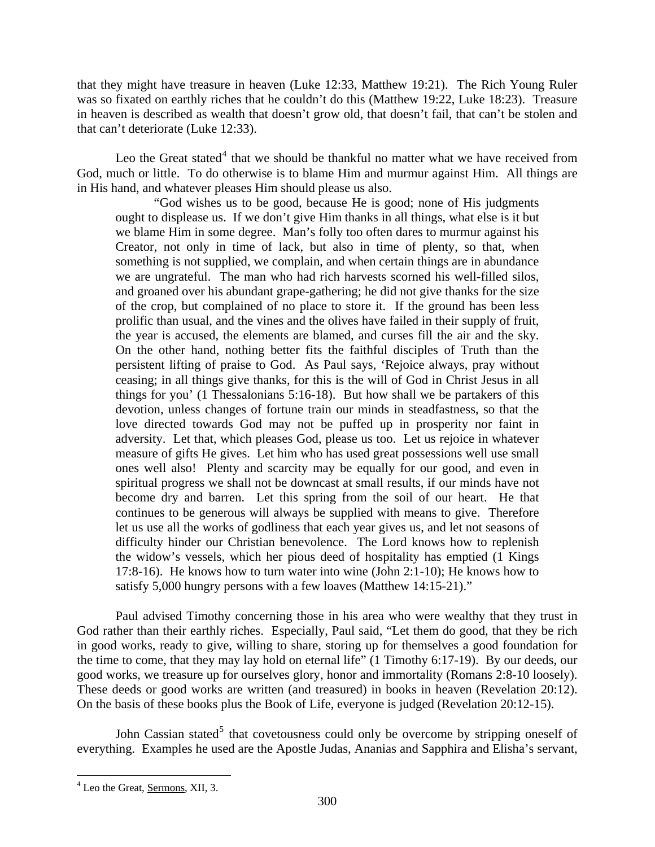that they might have treasure in heaven (Luke 12:33, Matthew 19:21). The Rich Young Ruler was so fixated on earthly riches that he couldn't do this (Matthew 19:22, Luke 18:23). Treasure in heaven is described as wealth that doesn't grow old, that doesn't fail, that can't be stolen and that can't deteriorate (Luke 12:33).

Leo the Great stated<sup>[4](#page-4-0)</sup> that we should be thankful no matter what we have received from God, much or little. To do otherwise is to blame Him and murmur against Him. All things are in His hand, and whatever pleases Him should please us also.

"God wishes us to be good, because He is good; none of His judgments ought to displease us. If we don't give Him thanks in all things, what else is it but we blame Him in some degree. Man's folly too often dares to murmur against his Creator, not only in time of lack, but also in time of plenty, so that, when something is not supplied, we complain, and when certain things are in abundance we are ungrateful. The man who had rich harvests scorned his well-filled silos, and groaned over his abundant grape-gathering; he did not give thanks for the size of the crop, but complained of no place to store it. If the ground has been less prolific than usual, and the vines and the olives have failed in their supply of fruit, the year is accused, the elements are blamed, and curses fill the air and the sky. On the other hand, nothing better fits the faithful disciples of Truth than the persistent lifting of praise to God. As Paul says, 'Rejoice always, pray without ceasing; in all things give thanks, for this is the will of God in Christ Jesus in all things for you' (1 Thessalonians 5:16-18). But how shall we be partakers of this devotion, unless changes of fortune train our minds in steadfastness, so that the love directed towards God may not be puffed up in prosperity nor faint in adversity. Let that, which pleases God, please us too. Let us rejoice in whatever measure of gifts He gives. Let him who has used great possessions well use small ones well also! Plenty and scarcity may be equally for our good, and even in spiritual progress we shall not be downcast at small results, if our minds have not become dry and barren. Let this spring from the soil of our heart. He that continues to be generous will always be supplied with means to give. Therefore let us use all the works of godliness that each year gives us, and let not seasons of difficulty hinder our Christian benevolence. The Lord knows how to replenish the widow's vessels, which her pious deed of hospitality has emptied (1 Kings 17:8-16). He knows how to turn water into wine (John 2:1-10); He knows how to satisfy 5,000 hungry persons with a few loaves (Matthew 14:15-21)."

Paul advised Timothy concerning those in his area who were wealthy that they trust in God rather than their earthly riches. Especially, Paul said, "Let them do good, that they be rich in good works, ready to give, willing to share, storing up for themselves a good foundation for the time to come, that they may lay hold on eternal life" (1 Timothy 6:17-19). By our deeds, our good works, we treasure up for ourselves glory, honor and immortality (Romans 2:8-10 loosely). These deeds or good works are written (and treasured) in books in heaven (Revelation 20:12). On the basis of these books plus the Book of Life, everyone is judged (Revelation 20:12-15).

<span id="page-4-1"></span>John Cassian stated<sup>[5](#page-4-1)</sup> that covetousness could only be overcome by stripping oneself of everything. Examples he used are the Apostle Judas, Ananias and Sapphira and Elisha's servant,

<span id="page-4-0"></span> $\overline{a}$ <sup>4</sup> Leo the Great, <u>Sermons</u>, XII, 3.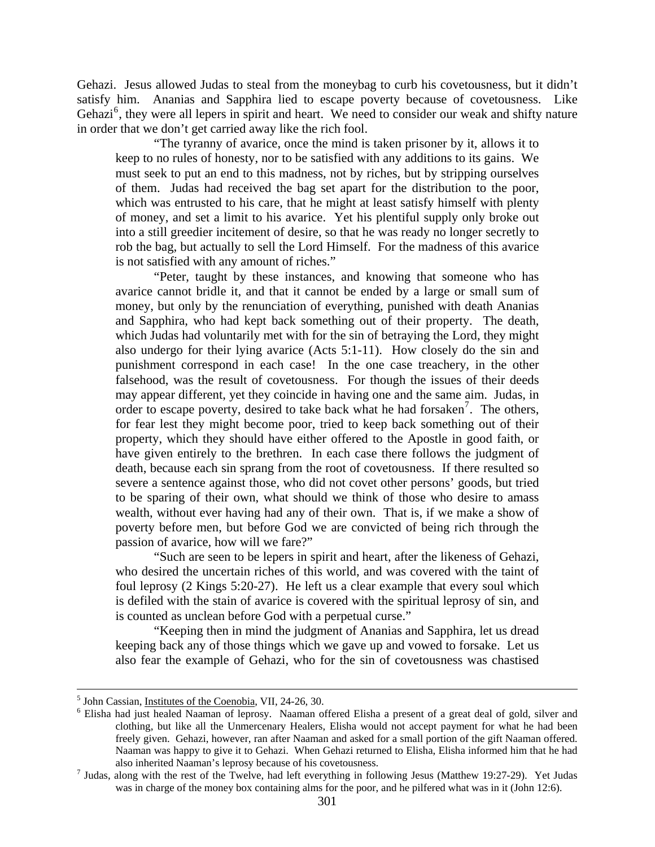Gehazi. Jesus allowed Judas to steal from the moneybag to curb his covetousness, but it didn't satisfy him. Ananias and Sapphira lied to escape poverty because of covetousness. Like Gehazi<sup>[6](#page-5-0)</sup>, they were all lepers in spirit and heart. We need to consider our weak and shifty nature in order that we don't get carried away like the rich fool.

"The tyranny of avarice, once the mind is taken prisoner by it, allows it to keep to no rules of honesty, nor to be satisfied with any additions to its gains. We must seek to put an end to this madness, not by riches, but by stripping ourselves of them. Judas had received the bag set apart for the distribution to the poor, which was entrusted to his care, that he might at least satisfy himself with plenty of money, and set a limit to his avarice. Yet his plentiful supply only broke out into a still greedier incitement of desire, so that he was ready no longer secretly to rob the bag, but actually to sell the Lord Himself. For the madness of this avarice is not satisfied with any amount of riches."

"Peter, taught by these instances, and knowing that someone who has avarice cannot bridle it, and that it cannot be ended by a large or small sum of money, but only by the renunciation of everything, punished with death Ananias and Sapphira, who had kept back something out of their property. The death, which Judas had voluntarily met with for the sin of betraying the Lord, they might also undergo for their lying avarice (Acts 5:1-11). How closely do the sin and punishment correspond in each case! In the one case treachery, in the other falsehood, was the result of covetousness. For though the issues of their deeds may appear different, yet they coincide in having one and the same aim. Judas, in order to escape poverty, desired to take back what he had forsaken<sup>[7](#page-5-1)</sup>. The others, for fear lest they might become poor, tried to keep back something out of their property, which they should have either offered to the Apostle in good faith, or have given entirely to the brethren. In each case there follows the judgment of death, because each sin sprang from the root of covetousness. If there resulted so severe a sentence against those, who did not covet other persons' goods, but tried to be sparing of their own, what should we think of those who desire to amass wealth, without ever having had any of their own. That is, if we make a show of poverty before men, but before God we are convicted of being rich through the passion of avarice, how will we fare?"

"Such are seen to be lepers in spirit and heart, after the likeness of Gehazi, who desired the uncertain riches of this world, and was covered with the taint of foul leprosy (2 Kings 5:20-27). He left us a clear example that every soul which is defiled with the stain of avarice is covered with the spiritual leprosy of sin, and is counted as unclean before God with a perpetual curse."

"Keeping then in mind the judgment of Ananias and Sapphira, let us dread keeping back any of those things which we gave up and vowed to forsake. Let us also fear the example of Gehazi, who for the sin of covetousness was chastised

<sup>&</sup>lt;sup>5</sup> John Cassian, <u>Institutes of the Coenobia</u>, VII, 24-26, 30.<br><sup>6</sup> Elisha had just haaled Naaman of January. Naaman of

<span id="page-5-0"></span><sup>&</sup>lt;sup>6</sup> Elisha had just healed Naaman of leprosy. Naaman offered Elisha a present of a great deal of gold, silver and clothing, but like all the Unmercenary Healers, Elisha would not accept payment for what he had been freely given. Gehazi, however, ran after Naaman and asked for a small portion of the gift Naaman offered. Naaman was happy to give it to Gehazi. When Gehazi returned to Elisha, Elisha informed him that he had also inherited Naaman's leprosy because of his covetousness. 7

<span id="page-5-1"></span> $<sup>7</sup>$  Judas, along with the rest of the Twelve, had left everything in following Jesus (Matthew 19:27-29). Yet Judas</sup> was in charge of the money box containing alms for the poor, and he pilfered what was in it (John 12:6).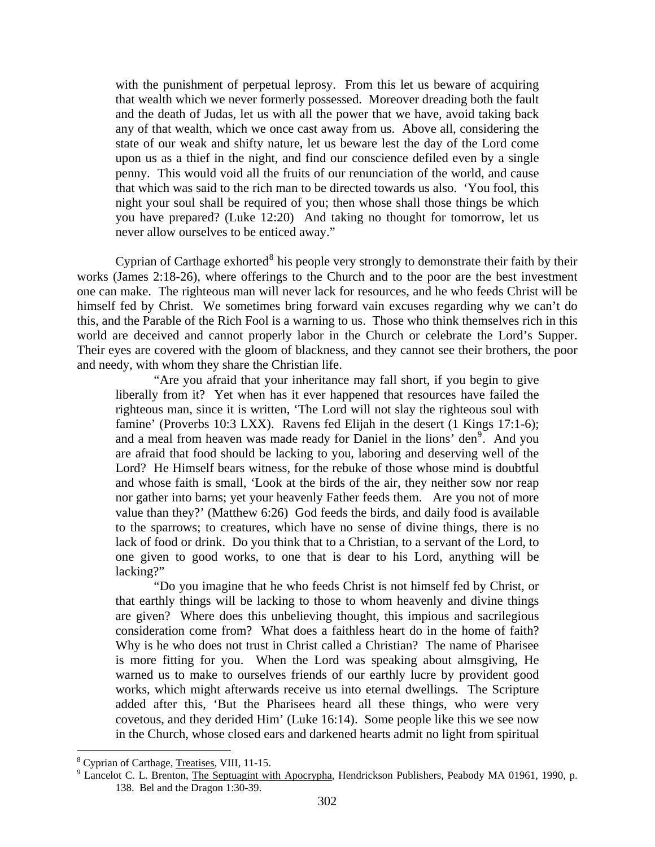with the punishment of perpetual leprosy. From this let us beware of acquiring that wealth which we never formerly possessed. Moreover dreading both the fault and the death of Judas, let us with all the power that we have, avoid taking back any of that wealth, which we once cast away from us. Above all, considering the state of our weak and shifty nature, let us beware lest the day of the Lord come upon us as a thief in the night, and find our conscience defiled even by a single penny. This would void all the fruits of our renunciation of the world, and cause that which was said to the rich man to be directed towards us also. 'You fool, this night your soul shall be required of you; then whose shall those things be which you have prepared? (Luke 12:20) And taking no thought for tomorrow, let us never allow ourselves to be enticed away."

Cyprian of Carthage exhorted $8$  his people very strongly to demonstrate their faith by their works (James 2:18-26), where offerings to the Church and to the poor are the best investment one can make. The righteous man will never lack for resources, and he who feeds Christ will be himself fed by Christ. We sometimes bring forward vain excuses regarding why we can't do this, and the Parable of the Rich Fool is a warning to us. Those who think themselves rich in this world are deceived and cannot properly labor in the Church or celebrate the Lord's Supper. Their eyes are covered with the gloom of blackness, and they cannot see their brothers, the poor and needy, with whom they share the Christian life.

"Are you afraid that your inheritance may fall short, if you begin to give liberally from it? Yet when has it ever happened that resources have failed the righteous man, since it is written, 'The Lord will not slay the righteous soul with famine' (Proverbs 10:3 LXX). Ravens fed Elijah in the desert (1 Kings 17:1-6); and a meal from heaven was made ready for Daniel in the lions' den<sup>[9](#page-6-1)</sup>. And you are afraid that food should be lacking to you, laboring and deserving well of the Lord? He Himself bears witness, for the rebuke of those whose mind is doubtful and whose faith is small, 'Look at the birds of the air, they neither sow nor reap nor gather into barns; yet your heavenly Father feeds them. Are you not of more value than they?' (Matthew 6:26) God feeds the birds, and daily food is available to the sparrows; to creatures, which have no sense of divine things, there is no lack of food or drink. Do you think that to a Christian, to a servant of the Lord, to one given to good works, to one that is dear to his Lord, anything will be lacking?"

"Do you imagine that he who feeds Christ is not himself fed by Christ, or that earthly things will be lacking to those to whom heavenly and divine things are given? Where does this unbelieving thought, this impious and sacrilegious consideration come from? What does a faithless heart do in the home of faith? Why is he who does not trust in Christ called a Christian? The name of Pharisee is more fitting for you. When the Lord was speaking about almsgiving, He warned us to make to ourselves friends of our earthly lucre by provident good works, which might afterwards receive us into eternal dwellings. The Scripture added after this, 'But the Pharisees heard all these things, who were very covetous, and they derided Him' (Luke 16:14). Some people like this we see now in the Church, whose closed ears and darkened hearts admit no light from spiritual

<span id="page-6-0"></span> $^8$  Cyprian of Carthage, <u>Treatises</u>, VIII, 11-15.

<span id="page-6-1"></span><sup>&</sup>lt;sup>9</sup> Lancelot C. L. Brenton, The Septuagint with Apocrypha, Hendrickson Publishers, Peabody MA 01961, 1990, p. 138. Bel and the Dragon 1:30-39.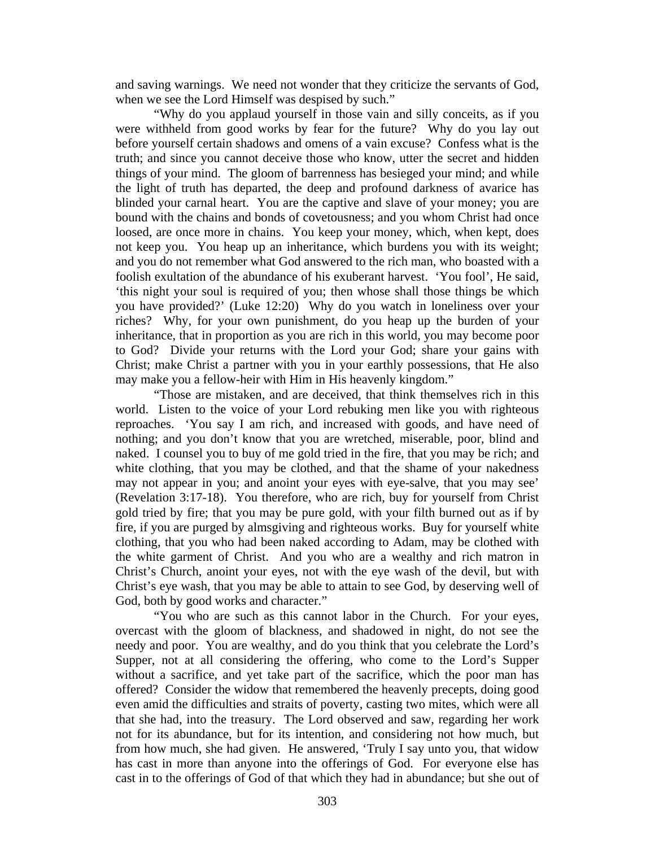and saving warnings. We need not wonder that they criticize the servants of God, when we see the Lord Himself was despised by such."

"Why do you applaud yourself in those vain and silly conceits, as if you were withheld from good works by fear for the future? Why do you lay out before yourself certain shadows and omens of a vain excuse? Confess what is the truth; and since you cannot deceive those who know, utter the secret and hidden things of your mind. The gloom of barrenness has besieged your mind; and while the light of truth has departed, the deep and profound darkness of avarice has blinded your carnal heart. You are the captive and slave of your money; you are bound with the chains and bonds of covetousness; and you whom Christ had once loosed, are once more in chains. You keep your money, which, when kept, does not keep you. You heap up an inheritance, which burdens you with its weight; and you do not remember what God answered to the rich man, who boasted with a foolish exultation of the abundance of his exuberant harvest. 'You fool', He said, 'this night your soul is required of you; then whose shall those things be which you have provided?' (Luke 12:20) Why do you watch in loneliness over your riches? Why, for your own punishment, do you heap up the burden of your inheritance, that in proportion as you are rich in this world, you may become poor to God? Divide your returns with the Lord your God; share your gains with Christ; make Christ a partner with you in your earthly possessions, that He also may make you a fellow-heir with Him in His heavenly kingdom."

"Those are mistaken, and are deceived, that think themselves rich in this world. Listen to the voice of your Lord rebuking men like you with righteous reproaches. 'You say I am rich, and increased with goods, and have need of nothing; and you don't know that you are wretched, miserable, poor, blind and naked. I counsel you to buy of me gold tried in the fire, that you may be rich; and white clothing, that you may be clothed, and that the shame of your nakedness may not appear in you; and anoint your eyes with eye-salve, that you may see' (Revelation 3:17-18). You therefore, who are rich, buy for yourself from Christ gold tried by fire; that you may be pure gold, with your filth burned out as if by fire, if you are purged by almsgiving and righteous works. Buy for yourself white clothing, that you who had been naked according to Adam, may be clothed with the white garment of Christ. And you who are a wealthy and rich matron in Christ's Church, anoint your eyes, not with the eye wash of the devil, but with Christ's eye wash, that you may be able to attain to see God, by deserving well of God, both by good works and character."

"You who are such as this cannot labor in the Church. For your eyes, overcast with the gloom of blackness, and shadowed in night, do not see the needy and poor. You are wealthy, and do you think that you celebrate the Lord's Supper, not at all considering the offering, who come to the Lord's Supper without a sacrifice, and yet take part of the sacrifice, which the poor man has offered? Consider the widow that remembered the heavenly precepts, doing good even amid the difficulties and straits of poverty, casting two mites, which were all that she had, into the treasury. The Lord observed and saw, regarding her work not for its abundance, but for its intention, and considering not how much, but from how much, she had given. He answered, 'Truly I say unto you, that widow has cast in more than anyone into the offerings of God. For everyone else has cast in to the offerings of God of that which they had in abundance; but she out of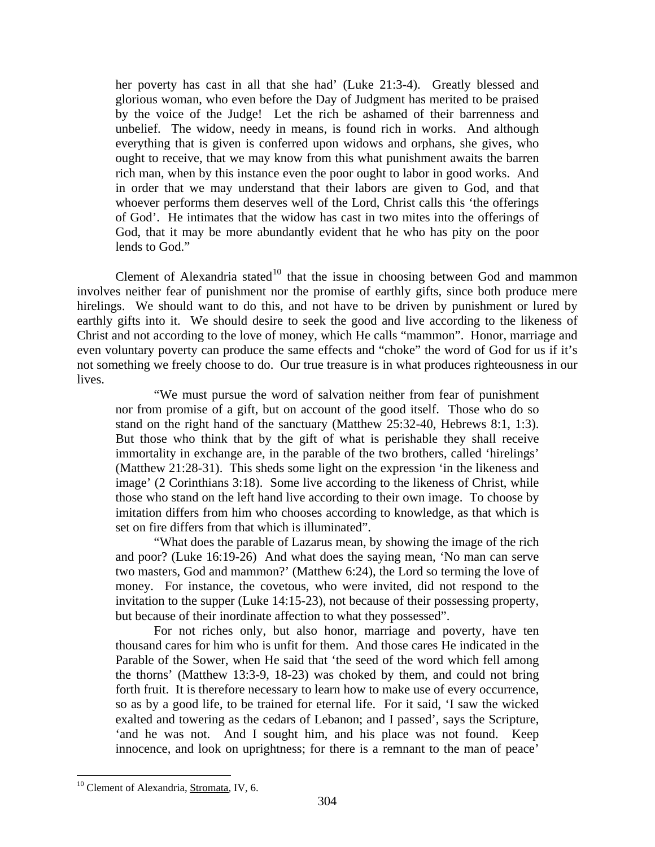her poverty has cast in all that she had' (Luke 21:3-4). Greatly blessed and glorious woman, who even before the Day of Judgment has merited to be praised by the voice of the Judge! Let the rich be ashamed of their barrenness and unbelief. The widow, needy in means, is found rich in works. And although everything that is given is conferred upon widows and orphans, she gives, who ought to receive, that we may know from this what punishment awaits the barren rich man, when by this instance even the poor ought to labor in good works. And in order that we may understand that their labors are given to God, and that whoever performs them deserves well of the Lord, Christ calls this 'the offerings of God'. He intimates that the widow has cast in two mites into the offerings of God, that it may be more abundantly evident that he who has pity on the poor lends to God."

Clement of Alexandria stated<sup>[10](#page-8-0)</sup> that the issue in choosing between God and mammon involves neither fear of punishment nor the promise of earthly gifts, since both produce mere hirelings. We should want to do this, and not have to be driven by punishment or lured by earthly gifts into it. We should desire to seek the good and live according to the likeness of Christ and not according to the love of money, which He calls "mammon". Honor, marriage and even voluntary poverty can produce the same effects and "choke" the word of God for us if it's not something we freely choose to do. Our true treasure is in what produces righteousness in our lives.

"We must pursue the word of salvation neither from fear of punishment nor from promise of a gift, but on account of the good itself. Those who do so stand on the right hand of the sanctuary (Matthew 25:32-40, Hebrews 8:1, 1:3). But those who think that by the gift of what is perishable they shall receive immortality in exchange are, in the parable of the two brothers, called 'hirelings' (Matthew 21:28-31). This sheds some light on the expression 'in the likeness and image' (2 Corinthians 3:18). Some live according to the likeness of Christ, while those who stand on the left hand live according to their own image. To choose by imitation differs from him who chooses according to knowledge, as that which is set on fire differs from that which is illuminated".

"What does the parable of Lazarus mean, by showing the image of the rich and poor? (Luke 16:19-26) And what does the saying mean, 'No man can serve two masters, God and mammon?' (Matthew 6:24), the Lord so terming the love of money. For instance, the covetous, who were invited, did not respond to the invitation to the supper (Luke 14:15-23), not because of their possessing property, but because of their inordinate affection to what they possessed".

For not riches only, but also honor, marriage and poverty, have ten thousand cares for him who is unfit for them. And those cares He indicated in the Parable of the Sower, when He said that 'the seed of the word which fell among the thorns' (Matthew 13:3-9, 18-23) was choked by them, and could not bring forth fruit. It is therefore necessary to learn how to make use of every occurrence, so as by a good life, to be trained for eternal life. For it said, 'I saw the wicked exalted and towering as the cedars of Lebanon; and I passed', says the Scripture, 'and he was not. And I sought him, and his place was not found. Keep innocence, and look on uprightness; for there is a remnant to the man of peace'

<span id="page-8-0"></span> $\overline{a}$ <sup>10</sup> Clement of Alexandria, Stromata, IV, 6.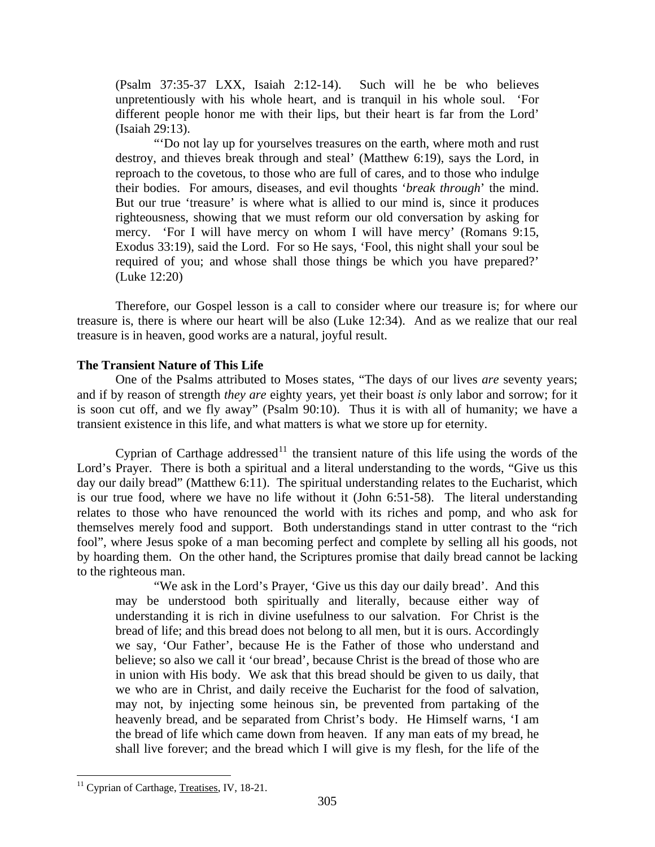<span id="page-9-0"></span>(Psalm 37:35-37 LXX, Isaiah 2:12-14). Such will he be who believes unpretentiously with his whole heart, and is tranquil in his whole soul. 'For different people honor me with their lips, but their heart is far from the Lord' (Isaiah 29:13).

"'Do not lay up for yourselves treasures on the earth, where moth and rust destroy, and thieves break through and steal' (Matthew 6:19), says the Lord, in reproach to the covetous, to those who are full of cares, and to those who indulge their bodies. For amours, diseases, and evil thoughts '*break through*' the mind. But our true 'treasure' is where what is allied to our mind is, since it produces righteousness, showing that we must reform our old conversation by asking for mercy. 'For I will have mercy on whom I will have mercy' (Romans 9:15, Exodus 33:19), said the Lord. For so He says, 'Fool, this night shall your soul be required of you; and whose shall those things be which you have prepared?' (Luke 12:20)

Therefore, our Gospel lesson is a call to consider where our treasure is; for where our treasure is, there is where our heart will be also (Luke 12:34). And as we realize that our real treasure is in heaven, good works are a natural, joyful result.

### **The Transient Nature of This Life**

One of the Psalms attributed to Moses states, "The days of our lives *are* seventy years; and if by reason of strength *they are* eighty years, yet their boast *is* only labor and sorrow; for it is soon cut off, and we fly away" (Psalm 90:10). Thus it is with all of humanity; we have a transient existence in this life, and what matters is what we store up for eternity.

Cyprian of Carthage addressed<sup>[11](#page-9-1)</sup> the transient nature of this life using the words of the Lord's Prayer. There is both a spiritual and a literal understanding to the words, "Give us this day our daily bread" (Matthew 6:11). The spiritual understanding relates to the Eucharist, which is our true food, where we have no life without it (John 6:51-58). The literal understanding relates to those who have renounced the world with its riches and pomp, and who ask for themselves merely food and support. Both understandings stand in utter contrast to the "rich fool", where Jesus spoke of a man becoming perfect and complete by selling all his goods, not by hoarding them. On the other hand, the Scriptures promise that daily bread cannot be lacking to the righteous man.

"We ask in the Lord's Prayer, 'Give us this day our daily bread'. And this may be understood both spiritually and literally, because either way of understanding it is rich in divine usefulness to our salvation. For Christ is the bread of life; and this bread does not belong to all men, but it is ours. Accordingly we say, 'Our Father', because He is the Father of those who understand and believe; so also we call it 'our bread', because Christ is the bread of those who are in union with His body. We ask that this bread should be given to us daily, that we who are in Christ, and daily receive the Eucharist for the food of salvation, may not, by injecting some heinous sin, be prevented from partaking of the heavenly bread, and be separated from Christ's body. He Himself warns, 'I am the bread of life which came down from heaven. If any man eats of my bread, he shall live forever; and the bread which I will give is my flesh, for the life of the

<span id="page-9-1"></span> $\overline{a}$ <sup>11</sup> Cyprian of Carthage, Treatises, IV, 18-21.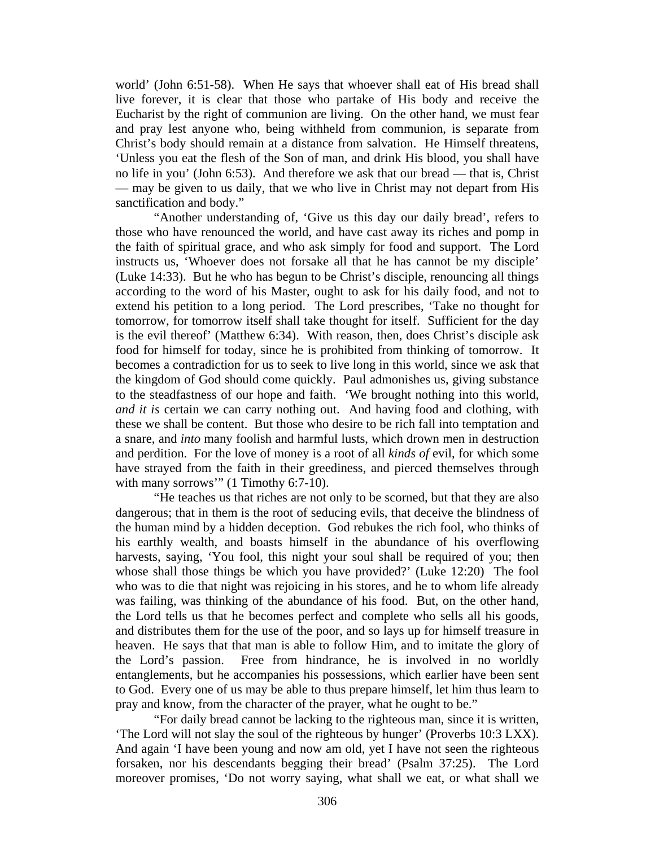world' (John 6:51-58). When He says that whoever shall eat of His bread shall live forever, it is clear that those who partake of His body and receive the Eucharist by the right of communion are living. On the other hand, we must fear and pray lest anyone who, being withheld from communion, is separate from Christ's body should remain at a distance from salvation. He Himself threatens, 'Unless you eat the flesh of the Son of man, and drink His blood, you shall have no life in you' (John 6:53). And therefore we ask that our bread — that is, Christ — may be given to us daily, that we who live in Christ may not depart from His sanctification and body."

"Another understanding of, 'Give us this day our daily bread', refers to those who have renounced the world, and have cast away its riches and pomp in the faith of spiritual grace, and who ask simply for food and support. The Lord instructs us, 'Whoever does not forsake all that he has cannot be my disciple' (Luke 14:33). But he who has begun to be Christ's disciple, renouncing all things according to the word of his Master, ought to ask for his daily food, and not to extend his petition to a long period. The Lord prescribes, 'Take no thought for tomorrow, for tomorrow itself shall take thought for itself. Sufficient for the day is the evil thereof' (Matthew 6:34). With reason, then, does Christ's disciple ask food for himself for today, since he is prohibited from thinking of tomorrow. It becomes a contradiction for us to seek to live long in this world, since we ask that the kingdom of God should come quickly. Paul admonishes us, giving substance to the steadfastness of our hope and faith. 'We brought nothing into this world, *and it is* certain we can carry nothing out. And having food and clothing, with these we shall be content. But those who desire to be rich fall into temptation and a snare, and *into* many foolish and harmful lusts, which drown men in destruction and perdition. For the love of money is a root of all *kinds of* evil, for which some have strayed from the faith in their greediness, and pierced themselves through with many sorrows" (1 Timothy 6:7-10).

"He teaches us that riches are not only to be scorned, but that they are also dangerous; that in them is the root of seducing evils, that deceive the blindness of the human mind by a hidden deception. God rebukes the rich fool, who thinks of his earthly wealth, and boasts himself in the abundance of his overflowing harvests, saying, 'You fool, this night your soul shall be required of you; then whose shall those things be which you have provided?' (Luke 12:20) The fool who was to die that night was rejoicing in his stores, and he to whom life already was failing, was thinking of the abundance of his food. But, on the other hand, the Lord tells us that he becomes perfect and complete who sells all his goods, and distributes them for the use of the poor, and so lays up for himself treasure in heaven. He says that that man is able to follow Him, and to imitate the glory of the Lord's passion. Free from hindrance, he is involved in no worldly entanglements, but he accompanies his possessions, which earlier have been sent to God. Every one of us may be able to thus prepare himself, let him thus learn to pray and know, from the character of the prayer, what he ought to be."

"For daily bread cannot be lacking to the righteous man, since it is written, 'The Lord will not slay the soul of the righteous by hunger' (Proverbs 10:3 LXX). And again 'I have been young and now am old, yet I have not seen the righteous forsaken, nor his descendants begging their bread' (Psalm 37:25). The Lord moreover promises, 'Do not worry saying, what shall we eat, or what shall we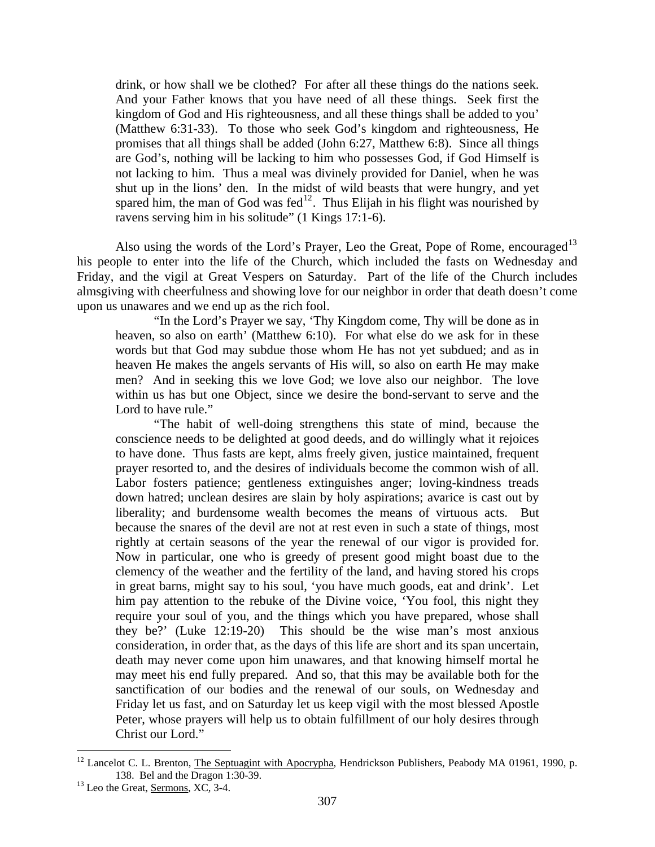drink, or how shall we be clothed? For after all these things do the nations seek. And your Father knows that you have need of all these things. Seek first the kingdom of God and His righteousness, and all these things shall be added to you' (Matthew 6:31-33). To those who seek God's kingdom and righteousness, He promises that all things shall be added (John 6:27, Matthew 6:8). Since all things are God's, nothing will be lacking to him who possesses God, if God Himself is not lacking to him. Thus a meal was divinely provided for Daniel, when he was shut up in the lions' den. In the midst of wild beasts that were hungry, and yet spared him, the man of God was fed<sup>[12](#page-11-0)</sup>. Thus Elijah in his flight was nourished by ravens serving him in his solitude" (1 Kings 17:1-6).

Also using the words of the Lord's Prayer, Leo the Great, Pope of Rome, encouraged<sup>[13](#page-11-1)</sup> his people to enter into the life of the Church, which included the fasts on Wednesday and Friday, and the vigil at Great Vespers on Saturday. Part of the life of the Church includes almsgiving with cheerfulness and showing love for our neighbor in order that death doesn't come upon us unawares and we end up as the rich fool.

"In the Lord's Prayer we say, 'Thy Kingdom come, Thy will be done as in heaven, so also on earth' (Matthew 6:10). For what else do we ask for in these words but that God may subdue those whom He has not yet subdued; and as in heaven He makes the angels servants of His will, so also on earth He may make men? And in seeking this we love God; we love also our neighbor. The love within us has but one Object, since we desire the bond-servant to serve and the Lord to have rule."

"The habit of well-doing strengthens this state of mind, because the conscience needs to be delighted at good deeds, and do willingly what it rejoices to have done. Thus fasts are kept, alms freely given, justice maintained, frequent prayer resorted to, and the desires of individuals become the common wish of all. Labor fosters patience; gentleness extinguishes anger; loving-kindness treads down hatred; unclean desires are slain by holy aspirations; avarice is cast out by liberality; and burdensome wealth becomes the means of virtuous acts. But because the snares of the devil are not at rest even in such a state of things, most rightly at certain seasons of the year the renewal of our vigor is provided for. Now in particular, one who is greedy of present good might boast due to the clemency of the weather and the fertility of the land, and having stored his crops in great barns, might say to his soul, 'you have much goods, eat and drink'. Let him pay attention to the rebuke of the Divine voice, 'You fool, this night they require your soul of you, and the things which you have prepared, whose shall they be?' (Luke 12:19-20) This should be the wise man's most anxious consideration, in order that, as the days of this life are short and its span uncertain, death may never come upon him unawares, and that knowing himself mortal he may meet his end fully prepared. And so, that this may be available both for the sanctification of our bodies and the renewal of our souls, on Wednesday and Friday let us fast, and on Saturday let us keep vigil with the most blessed Apostle Peter, whose prayers will help us to obtain fulfillment of our holy desires through Christ our Lord."

<span id="page-11-0"></span><sup>&</sup>lt;sup>12</sup> Lancelot C. L. Brenton, The Septuagint with Apocrypha, Hendrickson Publishers, Peabody MA 01961, 1990, p. 138. Bel and the Dragon 1:30-39.<br><sup>13</sup> Leo the Great, <u>Sermons</u>, XC, 3-4.

<span id="page-11-1"></span>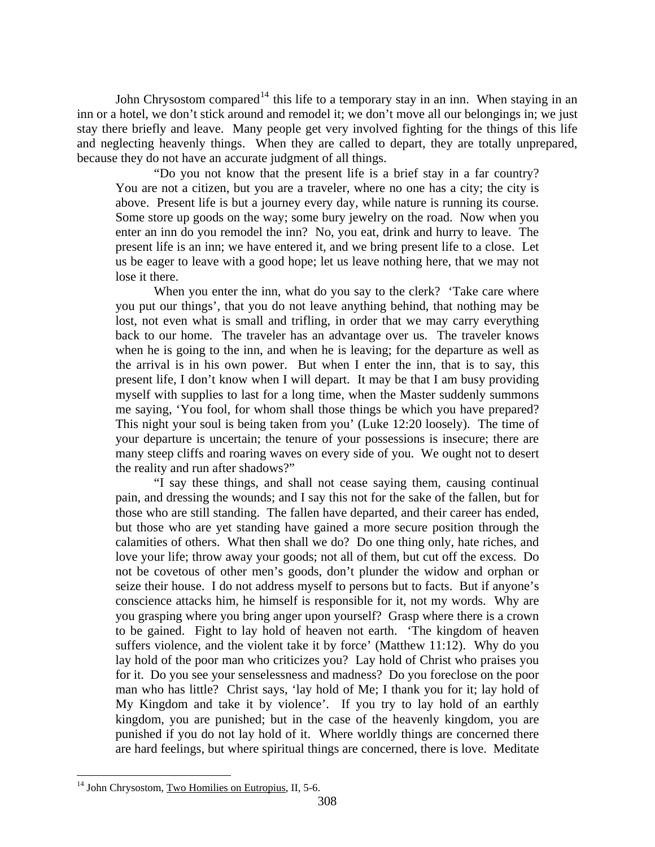John Chrysostom compared<sup>[14](#page-12-0)</sup> this life to a temporary stay in an inn. When staying in an inn or a hotel, we don't stick around and remodel it; we don't move all our belongings in; we just stay there briefly and leave. Many people get very involved fighting for the things of this life and neglecting heavenly things. When they are called to depart, they are totally unprepared, because they do not have an accurate judgment of all things.

"Do you not know that the present life is a brief stay in a far country? You are not a citizen, but you are a traveler, where no one has a city; the city is above. Present life is but a journey every day, while nature is running its course. Some store up goods on the way; some bury jewelry on the road. Now when you enter an inn do you remodel the inn? No, you eat, drink and hurry to leave. The present life is an inn; we have entered it, and we bring present life to a close. Let us be eager to leave with a good hope; let us leave nothing here, that we may not lose it there.

When you enter the inn, what do you say to the clerk? 'Take care where you put our things', that you do not leave anything behind, that nothing may be lost, not even what is small and trifling, in order that we may carry everything back to our home. The traveler has an advantage over us. The traveler knows when he is going to the inn, and when he is leaving; for the departure as well as the arrival is in his own power. But when I enter the inn, that is to say, this present life, I don't know when I will depart. It may be that I am busy providing myself with supplies to last for a long time, when the Master suddenly summons me saying, 'You fool, for whom shall those things be which you have prepared? This night your soul is being taken from you' (Luke 12:20 loosely). The time of your departure is uncertain; the tenure of your possessions is insecure; there are many steep cliffs and roaring waves on every side of you. We ought not to desert the reality and run after shadows?"

"I say these things, and shall not cease saying them, causing continual pain, and dressing the wounds; and I say this not for the sake of the fallen, but for those who are still standing. The fallen have departed, and their career has ended, but those who are yet standing have gained a more secure position through the calamities of others. What then shall we do? Do one thing only, hate riches, and love your life; throw away your goods; not all of them, but cut off the excess. Do not be covetous of other men's goods, don't plunder the widow and orphan or seize their house. I do not address myself to persons but to facts. But if anyone's conscience attacks him, he himself is responsible for it, not my words. Why are you grasping where you bring anger upon yourself? Grasp where there is a crown to be gained. Fight to lay hold of heaven not earth. 'The kingdom of heaven suffers violence, and the violent take it by force' (Matthew 11:12). Why do you lay hold of the poor man who criticizes you? Lay hold of Christ who praises you for it. Do you see your senselessness and madness? Do you foreclose on the poor man who has little? Christ says, 'lay hold of Me; I thank you for it; lay hold of My Kingdom and take it by violence'. If you try to lay hold of an earthly kingdom, you are punished; but in the case of the heavenly kingdom, you are punished if you do not lay hold of it. Where worldly things are concerned there are hard feelings, but where spiritual things are concerned, there is love. Meditate

<span id="page-12-0"></span> $\overline{a}$ <sup>14</sup> John Chrysostom, Two Homilies on Eutropius, II, 5-6.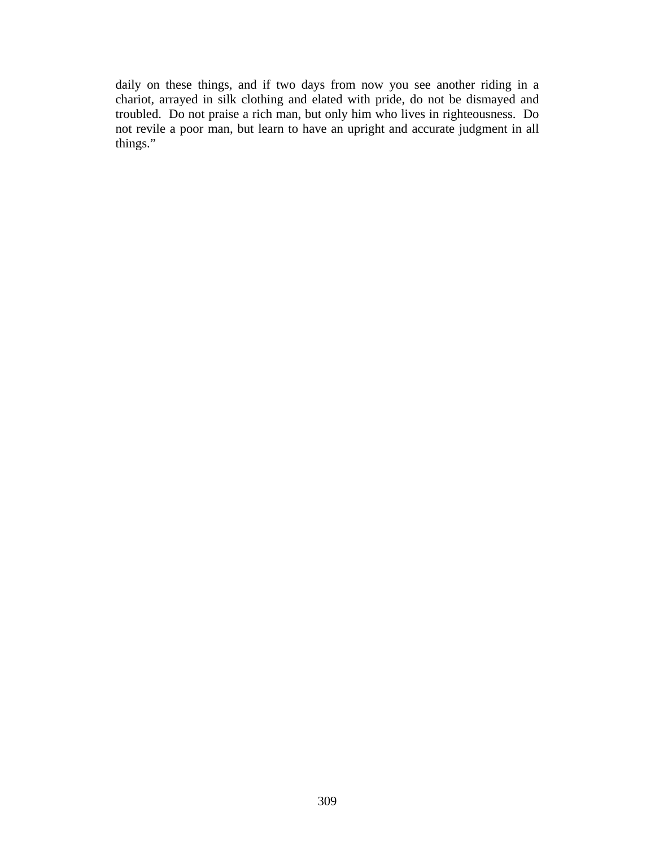daily on these things, and if two days from now you see another riding in a chariot, arrayed in silk clothing and elated with pride, do not be dismayed and troubled. Do not praise a rich man, but only him who lives in righteousness. Do not revile a poor man, but learn to have an upright and accurate judgment in all things."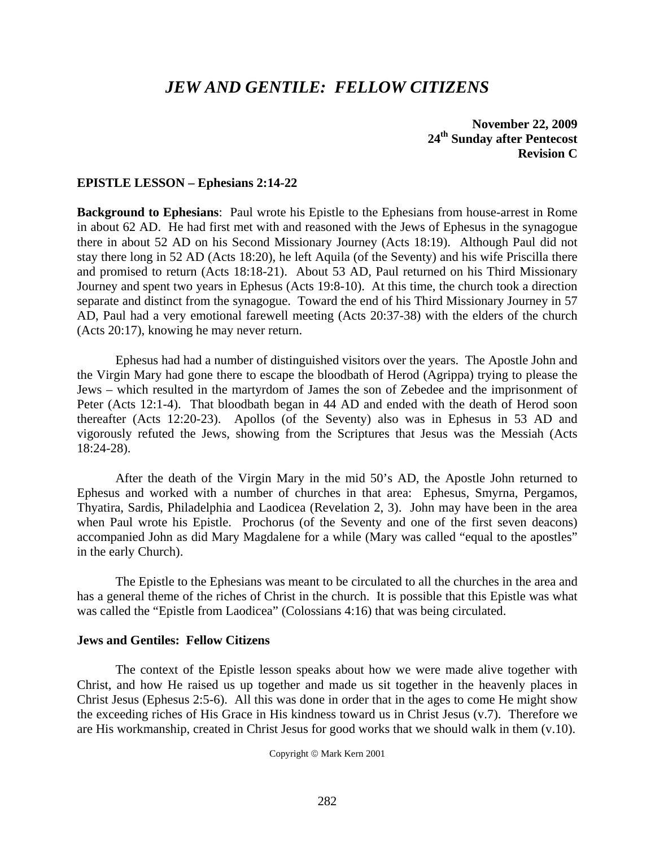# *JEW AND GENTILE: FELLOW CITIZENS*

**November 22, 2009 24th Sunday after Pentecost Revision C** 

#### **EPISTLE LESSON – Ephesians 2:14-22**

**Background to Ephesians**: Paul wrote his Epistle to the Ephesians from house-arrest in Rome in about 62 AD. He had first met with and reasoned with the Jews of Ephesus in the synagogue there in about 52 AD on his Second Missionary Journey (Acts 18:19). Although Paul did not stay there long in 52 AD (Acts 18:20), he left Aquila (of the Seventy) and his wife Priscilla there and promised to return (Acts 18:18-21). About 53 AD, Paul returned on his Third Missionary Journey and spent two years in Ephesus (Acts 19:8-10). At this time, the church took a direction separate and distinct from the synagogue. Toward the end of his Third Missionary Journey in 57 AD, Paul had a very emotional farewell meeting (Acts 20:37-38) with the elders of the church (Acts 20:17), knowing he may never return.

 Ephesus had had a number of distinguished visitors over the years. The Apostle John and the Virgin Mary had gone there to escape the bloodbath of Herod (Agrippa) trying to please the Jews – which resulted in the martyrdom of James the son of Zebedee and the imprisonment of Peter (Acts 12:1-4). That bloodbath began in 44 AD and ended with the death of Herod soon thereafter (Acts 12:20-23). Apollos (of the Seventy) also was in Ephesus in 53 AD and vigorously refuted the Jews, showing from the Scriptures that Jesus was the Messiah (Acts 18:24-28).

 After the death of the Virgin Mary in the mid 50's AD, the Apostle John returned to Ephesus and worked with a number of churches in that area: Ephesus, Smyrna, Pergamos, Thyatira, Sardis, Philadelphia and Laodicea (Revelation 2, 3). John may have been in the area when Paul wrote his Epistle. Prochorus (of the Seventy and one of the first seven deacons) accompanied John as did Mary Magdalene for a while (Mary was called "equal to the apostles" in the early Church).

 The Epistle to the Ephesians was meant to be circulated to all the churches in the area and has a general theme of the riches of Christ in the church. It is possible that this Epistle was what was called the "Epistle from Laodicea" (Colossians 4:16) that was being circulated.

#### **Jews and Gentiles: Fellow Citizens**

 The context of the Epistle lesson speaks about how we were made alive together with Christ, and how He raised us up together and made us sit together in the heavenly places in Christ Jesus (Ephesus 2:5-6). All this was done in order that in the ages to come He might show the exceeding riches of His Grace in His kindness toward us in Christ Jesus (v.7). Therefore we are His workmanship, created in Christ Jesus for good works that we should walk in them (v.10).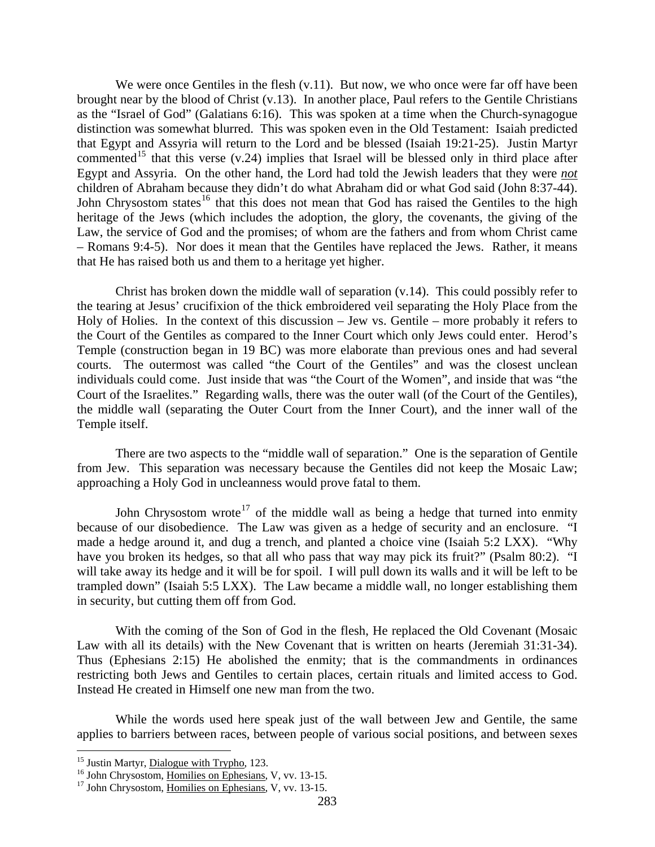We were once Gentiles in the flesh  $(v, 11)$ . But now, we who once were far off have been brought near by the blood of Christ (v.13). In another place, Paul refers to the Gentile Christians as the "Israel of God" (Galatians 6:16). This was spoken at a time when the Church-synagogue distinction was somewhat blurred. This was spoken even in the Old Testament: Isaiah predicted that Egypt and Assyria will return to the Lord and be blessed (Isaiah 19:21-25). Justin Martyr commented<sup>[15](#page-15-0)</sup> that this verse (v.24) implies that Israel will be blessed only in third place after Egypt and Assyria. On the other hand, the Lord had told the Jewish leaders that they were *not* children of Abraham because they didn't do what Abraham did or what God said (John 8:37-44). John Chrysostom states<sup>[16](#page-15-1)</sup> that this does not mean that God has raised the Gentiles to the high heritage of the Jews (which includes the adoption, the glory, the covenants, the giving of the Law, the service of God and the promises; of whom are the fathers and from whom Christ came – Romans 9:4-5). Nor does it mean that the Gentiles have replaced the Jews. Rather, it means that He has raised both us and them to a heritage yet higher.

 Christ has broken down the middle wall of separation (v.14). This could possibly refer to the tearing at Jesus' crucifixion of the thick embroidered veil separating the Holy Place from the Holy of Holies. In the context of this discussion – Jew vs. Gentile – more probably it refers to the Court of the Gentiles as compared to the Inner Court which only Jews could enter. Herod's Temple (construction began in 19 BC) was more elaborate than previous ones and had several courts. The outermost was called "the Court of the Gentiles" and was the closest unclean individuals could come. Just inside that was "the Court of the Women", and inside that was "the Court of the Israelites." Regarding walls, there was the outer wall (of the Court of the Gentiles), the middle wall (separating the Outer Court from the Inner Court), and the inner wall of the Temple itself.

 There are two aspects to the "middle wall of separation." One is the separation of Gentile from Jew. This separation was necessary because the Gentiles did not keep the Mosaic Law; approaching a Holy God in uncleanness would prove fatal to them.

John Chrysostom wrote<sup>[17](#page-15-2)</sup> of the middle wall as being a hedge that turned into enmity because of our disobedience. The Law was given as a hedge of security and an enclosure. "I made a hedge around it, and dug a trench, and planted a choice vine (Isaiah 5:2 LXX). "Why have you broken its hedges, so that all who pass that way may pick its fruit?" (Psalm 80:2). "I will take away its hedge and it will be for spoil. I will pull down its walls and it will be left to be trampled down" (Isaiah 5:5 LXX). The Law became a middle wall, no longer establishing them in security, but cutting them off from God.

 With the coming of the Son of God in the flesh, He replaced the Old Covenant (Mosaic Law with all its details) with the New Covenant that is written on hearts (Jeremiah 31:31-34). Thus (Ephesians 2:15) He abolished the enmity; that is the commandments in ordinances restricting both Jews and Gentiles to certain places, certain rituals and limited access to God. Instead He created in Himself one new man from the two.

 While the words used here speak just of the wall between Jew and Gentile, the same applies to barriers between races, between people of various social positions, and between sexes

<span id="page-15-0"></span><sup>&</sup>lt;sup>15</sup> Justin Martyr, Dialogue with Trypho, 123.

<span id="page-15-1"></span><sup>&</sup>lt;sup>16</sup> John Chrysostom, <u>Homilies on Ephesians</u>, V, vv. 13-15. <sup>17</sup> John Chrysostom, Homilies on Ephesians, V, vv. 13-15.

<span id="page-15-2"></span>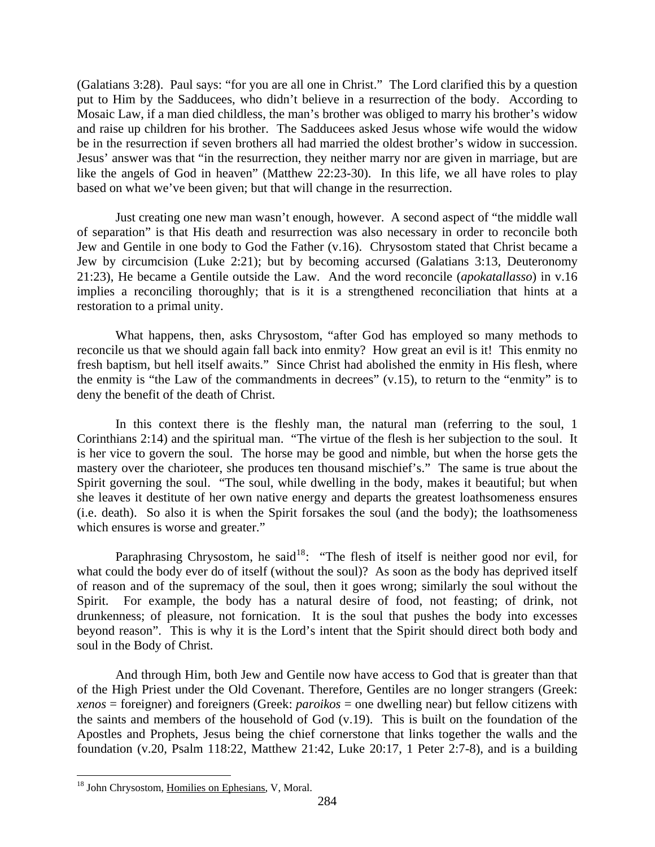(Galatians 3:28). Paul says: "for you are all one in Christ." The Lord clarified this by a question put to Him by the Sadducees, who didn't believe in a resurrection of the body. According to Mosaic Law, if a man died childless, the man's brother was obliged to marry his brother's widow and raise up children for his brother. The Sadducees asked Jesus whose wife would the widow be in the resurrection if seven brothers all had married the oldest brother's widow in succession. Jesus' answer was that "in the resurrection, they neither marry nor are given in marriage, but are like the angels of God in heaven" (Matthew 22:23-30). In this life, we all have roles to play based on what we've been given; but that will change in the resurrection.

 Just creating one new man wasn't enough, however. A second aspect of "the middle wall of separation" is that His death and resurrection was also necessary in order to reconcile both Jew and Gentile in one body to God the Father (v.16). Chrysostom stated that Christ became a Jew by circumcision (Luke 2:21); but by becoming accursed (Galatians 3:13, Deuteronomy 21:23), He became a Gentile outside the Law. And the word reconcile (*apokatallasso*) in v.16 implies a reconciling thoroughly; that is it is a strengthened reconciliation that hints at a restoration to a primal unity.

 What happens, then, asks Chrysostom, "after God has employed so many methods to reconcile us that we should again fall back into enmity? How great an evil is it! This enmity no fresh baptism, but hell itself awaits." Since Christ had abolished the enmity in His flesh, where the enmity is "the Law of the commandments in decrees" (v.15), to return to the "enmity" is to deny the benefit of the death of Christ.

 In this context there is the fleshly man, the natural man (referring to the soul, 1 Corinthians 2:14) and the spiritual man. "The virtue of the flesh is her subjection to the soul. It is her vice to govern the soul. The horse may be good and nimble, but when the horse gets the mastery over the charioteer, she produces ten thousand mischief's." The same is true about the Spirit governing the soul. "The soul, while dwelling in the body, makes it beautiful; but when she leaves it destitute of her own native energy and departs the greatest loathsomeness ensures (i.e. death). So also it is when the Spirit forsakes the soul (and the body); the loathsomeness which ensures is worse and greater."

soul in the Body of Christ. Paraphrasing Chrysostom, he said<sup>[18](#page-16-0)</sup>: "The flesh of itself is neither good nor evil, for what could the body ever do of itself (without the soul)? As soon as the body has deprived itself of reason and of the supremacy of the soul, then it goes wrong; similarly the soul without the Spirit. For example, the body has a natural desire of food, not feasting; of drink, not drunkenness; of pleasure, not fornication. It is the soul that pushes the body into excesses beyond reason". This is why it is the Lord's intent that the Spirit should direct both body and

 And through Him, both Jew and Gentile now have access to God that is greater than that of the High Priest under the Old Covenant. Therefore, Gentiles are no longer strangers (Greek: *xenos* = foreigner) and foreigners (Greek: *paroikos* = one dwelling near) but fellow citizens with the saints and members of the household of God (v.19). This is built on the foundation of the Apostles and Prophets, Jesus being the chief cornerstone that links together the walls and the foundation (v.20, Psalm 118:22, Matthew 21:42, Luke 20:17, 1 Peter 2:7-8), and is a building

<span id="page-16-0"></span><sup>&</sup>lt;sup>18</sup> John Chrysostom, Homilies on Ephesians, V, Moral.